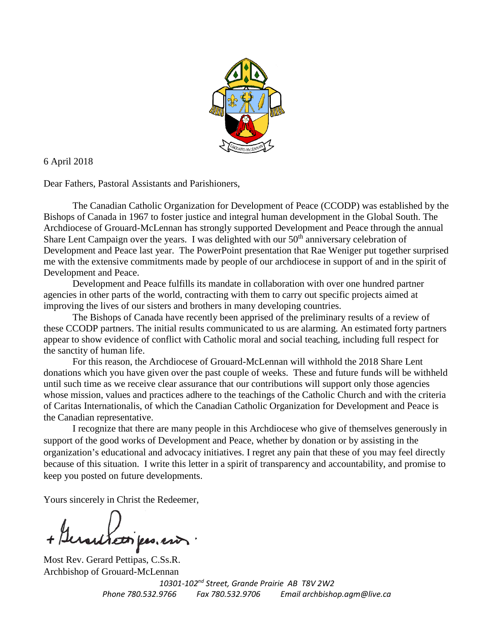

6 April 2018

Dear Fathers, Pastoral Assistants and Parishioners,

The Canadian Catholic Organization for Development of Peace (CCODP) was established by the Bishops of Canada in 1967 to foster justice and integral human development in the Global South. The Archdiocese of Grouard-McLennan has strongly supported Development and Peace through the annual Share Lent Campaign over the years. I was delighted with our  $50<sup>th</sup>$  anniversary celebration of Development and Peace last year. The PowerPoint presentation that Rae Weniger put together surprised me with the extensive commitments made by people of our archdiocese in support of and in the spirit of Development and Peace.

Development and Peace fulfills its mandate in collaboration with over one hundred partner agencies in other parts of the world, contracting with them to carry out specific projects aimed at improving the lives of our sisters and brothers in many developing countries.

The Bishops of Canada have recently been apprised of the preliminary results of a review of these CCODP partners. The initial results communicated to us are alarming. An estimated forty partners appear to show evidence of conflict with Catholic moral and social teaching, including full respect for the sanctity of human life.

For this reason, the Archdiocese of Grouard-McLennan will withhold the 2018 Share Lent donations which you have given over the past couple of weeks. These and future funds will be withheld until such time as we receive clear assurance that our contributions will support only those agencies whose mission, values and practices adhere to the teachings of the Catholic Church and with the criteria of Caritas Internationalis, of which the Canadian Catholic Organization for Development and Peace is the Canadian representative.

I recognize that there are many people in this Archdiocese who give of themselves generously in support of the good works of Development and Peace, whether by donation or by assisting in the organization's educational and advocacy initiatives. I regret any pain that these of you may feel directly because of this situation. I write this letter in a spirit of transparency and accountability, and promise to keep you posted on future developments.

Yours sincerely in Christ the Redeemer,

utien pes en

Most Rev. Gerard Pettipas, C.Ss.R. Archbishop of Grouard-McLennan

*10301-102nd Street, Grande Prairie AB T8V 2W2 Phone 780.532.9766 Fax 780.532.9706 Email archbishop.agm@live.ca*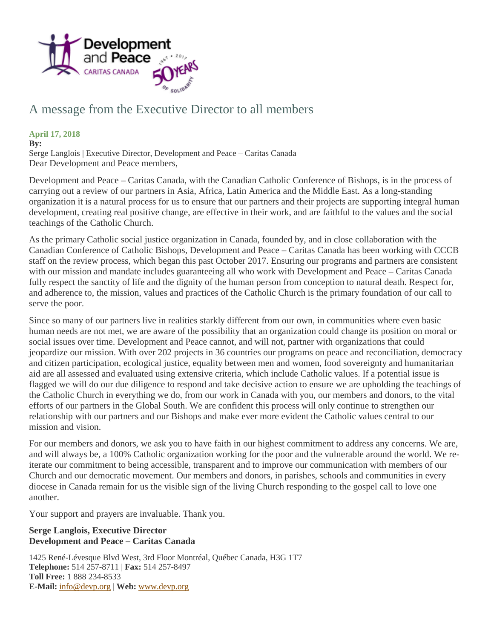

## A message from the Executive Director to all members

## **April 17, 2018**

**By:**

Serge Langlois | Executive Director, Development and Peace – Caritas Canada Dear Development and Peace members,

Development and Peace – Caritas Canada, with the Canadian Catholic Conference of Bishops, is in the process of carrying out a review of our partners in Asia, Africa, Latin America and the Middle East. As a long-standing organization it is a natural process for us to ensure that our partners and their projects are supporting integral human development, creating real positive change, are effective in their work, and are faithful to the values and the social teachings of the Catholic Church.

As the primary Catholic social justice organization in Canada, founded by, and in close collaboration with the Canadian Conference of Catholic Bishops, Development and Peace – Caritas Canada has been working with CCCB staff on the review process, which began this past October 2017. Ensuring our programs and partners are consistent with our mission and mandate includes guaranteeing all who work with Development and Peace – Caritas Canada fully respect the sanctity of life and the dignity of the human person from conception to natural death. Respect for, and adherence to, the mission, values and practices of the Catholic Church is the primary foundation of our call to serve the poor.

Since so many of our partners live in realities starkly different from our own, in communities where even basic human needs are not met, we are aware of the possibility that an organization could change its position on moral or social issues over time. Development and Peace cannot, and will not, partner with organizations that could jeopardize our mission. With over 202 projects in 36 countries our programs on peace and reconciliation, democracy and citizen participation, ecological justice, equality between men and women, food sovereignty and humanitarian aid are all assessed and evaluated using extensive criteria, which include Catholic values. If a potential issue is flagged we will do our due diligence to respond and take decisive action to ensure we are upholding the teachings of the Catholic Church in everything we do, from our work in Canada with you, our members and donors, to the vital efforts of our partners in the Global South. We are confident this process will only continue to strengthen our relationship with our partners and our Bishops and make ever more evident the Catholic values central to our mission and vision.

For our members and donors, we ask you to have faith in our highest commitment to address any concerns. We are, and will always be, a 100% Catholic organization working for the poor and the vulnerable around the world. We reiterate our commitment to being accessible, transparent and to improve our communication with members of our Church and our democratic movement. Our members and donors, in parishes, schools and communities in every diocese in Canada remain for us the visible sign of the living Church responding to the gospel call to love one another.

Your support and prayers are invaluable. Thank you.

## **Serge Langlois, Executive Director Development and Peace – Caritas Canada**

1425 René-Lévesque Blvd West, 3rd Floor Montréal, Québec Canada, H3G 1T7 **Telephone:** 514 257-8711 | **Fax:** 514 257-8497 **Toll Free:** 1 888 234-8533 **E-Mail:** [info@devp.org](mailto:info@devp.org) | **Web:** [www.devp.org](http://www.devp.org/)